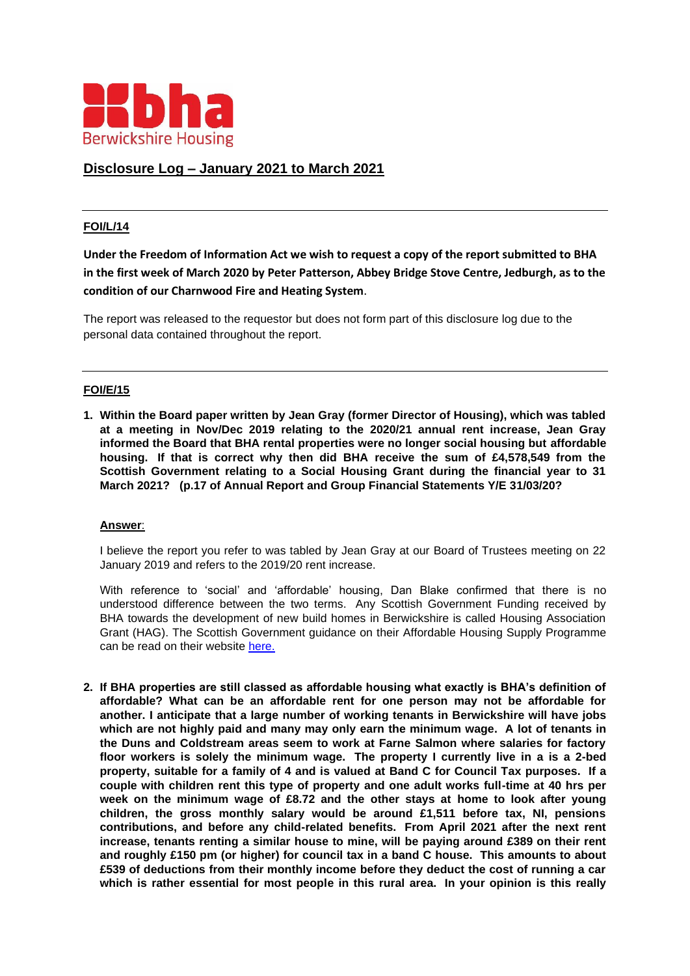

# **Disclosure Log – January 2021 to March 2021**

### **FOI/L/14**

**Under the Freedom of Information Act we wish to request a copy of the report submitted to BHA in the first week of March 2020 by Peter Patterson, Abbey Bridge Stove Centre, Jedburgh, as to the condition of our Charnwood Fire and Heating System**.

The report was released to the requestor but does not form part of this disclosure log due to the personal data contained throughout the report.

### **FOI/E/15**

**1. Within the Board paper written by Jean Gray (former Director of Housing), which was tabled at a meeting in Nov/Dec 2019 relating to the 2020/21 annual rent increase, Jean Gray informed the Board that BHA rental properties were no longer social housing but affordable housing. If that is correct why then did BHA receive the sum of £4,578,549 from the Scottish Government relating to a Social Housing Grant during the financial year to 31 March 2021? (p.17 of Annual Report and Group Financial Statements Y/E 31/03/20?**

#### **Answer**:

I believe the report you refer to was tabled by Jean Gray at our Board of Trustees meeting on 22 January 2019 and refers to the 2019/20 rent increase.

With reference to 'social' and 'affordable' housing, Dan Blake confirmed that there is no understood difference between the two terms. Any Scottish Government Funding received by BHA towards the development of new build homes in Berwickshire is called Housing Association Grant (HAG). The Scottish Government guidance on their Affordable Housing Supply Programme can be read on their website [here.](https://www.gov.scot/policies/more-homes/affordable-housing-supply/)

**2. If BHA properties are still classed as affordable housing what exactly is BHA's definition of affordable? What can be an affordable rent for one person may not be affordable for another. I anticipate that a large number of working tenants in Berwickshire will have jobs which are not highly paid and many may only earn the minimum wage. A lot of tenants in the Duns and Coldstream areas seem to work at Farne Salmon where salaries for factory floor workers is solely the minimum wage. The property I currently live in a is a 2-bed property, suitable for a family of 4 and is valued at Band C for Council Tax purposes. If a couple with children rent this type of property and one adult works full-time at 40 hrs per week on the minimum wage of £8.72 and the other stays at home to look after young children, the gross monthly salary would be around £1,511 before tax, NI, pensions contributions, and before any child-related benefits. From April 2021 after the next rent increase, tenants renting a similar house to mine, will be paying around £389 on their rent and roughly £150 pm (or higher) for council tax in a band C house. This amounts to about £539 of deductions from their monthly income before they deduct the cost of running a car which is rather essential for most people in this rural area. In your opinion is this really**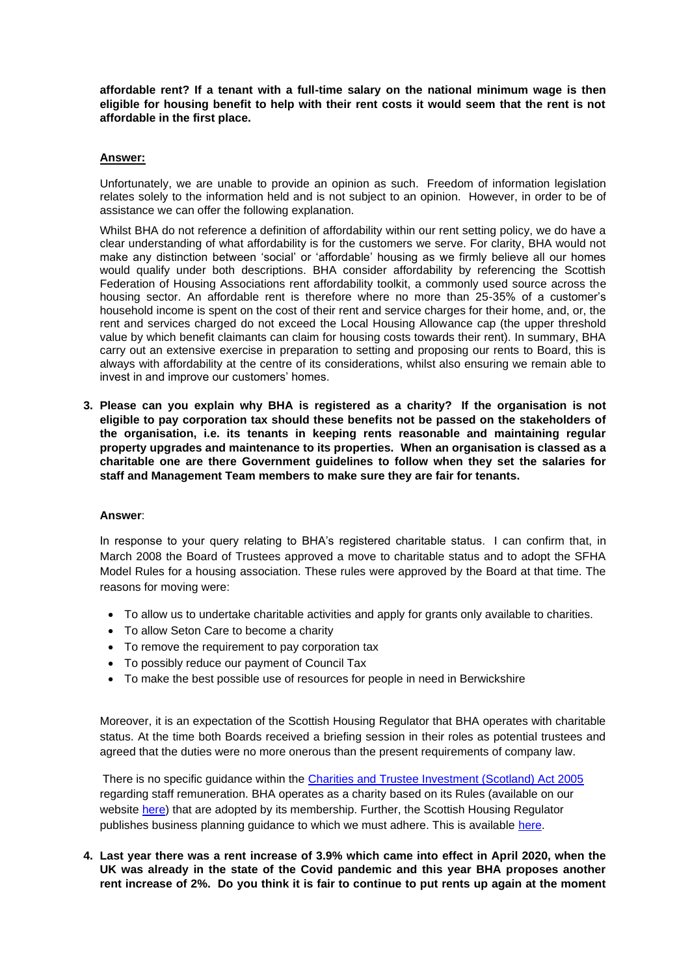**affordable rent? If a tenant with a full-time salary on the national minimum wage is then eligible for housing benefit to help with their rent costs it would seem that the rent is not affordable in the first place.**

#### **Answer:**

Unfortunately, we are unable to provide an opinion as such. Freedom of information legislation relates solely to the information held and is not subject to an opinion. However, in order to be of assistance we can offer the following explanation.

Whilst BHA do not reference a definition of affordability within our rent setting policy, we do have a clear understanding of what affordability is for the customers we serve. For clarity, BHA would not make any distinction between 'social' or 'affordable' housing as we firmly believe all our homes would qualify under both descriptions. BHA consider affordability by referencing the Scottish Federation of Housing Associations rent affordability toolkit, a commonly used source across the housing sector. An affordable rent is therefore where no more than 25-35% of a customer's household income is spent on the cost of their rent and service charges for their home, and, or, the rent and services charged do not exceed the Local Housing Allowance cap (the upper threshold value by which benefit claimants can claim for housing costs towards their rent). In summary, BHA carry out an extensive exercise in preparation to setting and proposing our rents to Board, this is always with affordability at the centre of its considerations, whilst also ensuring we remain able to invest in and improve our customers' homes.

**3. Please can you explain why BHA is registered as a charity? If the organisation is not eligible to pay corporation tax should these benefits not be passed on the stakeholders of the organisation, i.e. its tenants in keeping rents reasonable and maintaining regular property upgrades and maintenance to its properties. When an organisation is classed as a charitable one are there Government guidelines to follow when they set the salaries for staff and Management Team members to make sure they are fair for tenants.**

#### **Answer**:

In response to your query relating to BHA's registered charitable status. I can confirm that, in March 2008 the Board of Trustees approved a move to charitable status and to adopt the SFHA Model Rules for a housing association. These rules were approved by the Board at that time. The reasons for moving were:

- To allow us to undertake charitable activities and apply for grants only available to charities.
- To allow Seton Care to become a charity
- To remove the requirement to pay corporation tax
- To possibly reduce our payment of Council Tax
- To make the best possible use of resources for people in need in Berwickshire

Moreover, it is an expectation of the Scottish Housing Regulator that BHA operates with charitable status. At the time both Boards received a briefing session in their roles as potential trustees and agreed that the duties were no more onerous than the present requirements of company law.

There is no specific guidance within the [Charities and Trustee Investment \(Scotland\) Act 2005](https://www.legislation.gov.uk/asp/2005/10/contents) regarding staff remuneration. BHA operates as a charity based on its Rules (available on our website [here\)](https://www.berwickshirehousing.org.uk/wp-content/uploads/2019/10/BHA-Approved-Model-Rules-2020_FINAL.pdf) that are adopted by its membership. Further, the Scottish Housing Regulator publishes business planning guidance to which we must adhere. This is available [here.](https://www.housingregulator.gov.scot/media/1034/advice-for-landlords-recommended-practice-business-planning-rp-14-december-2015.pdf)

**4. Last year there was a rent increase of 3.9% which came into effect in April 2020, when the UK was already in the state of the Covid pandemic and this year BHA proposes another rent increase of 2%. Do you think it is fair to continue to put rents up again at the moment**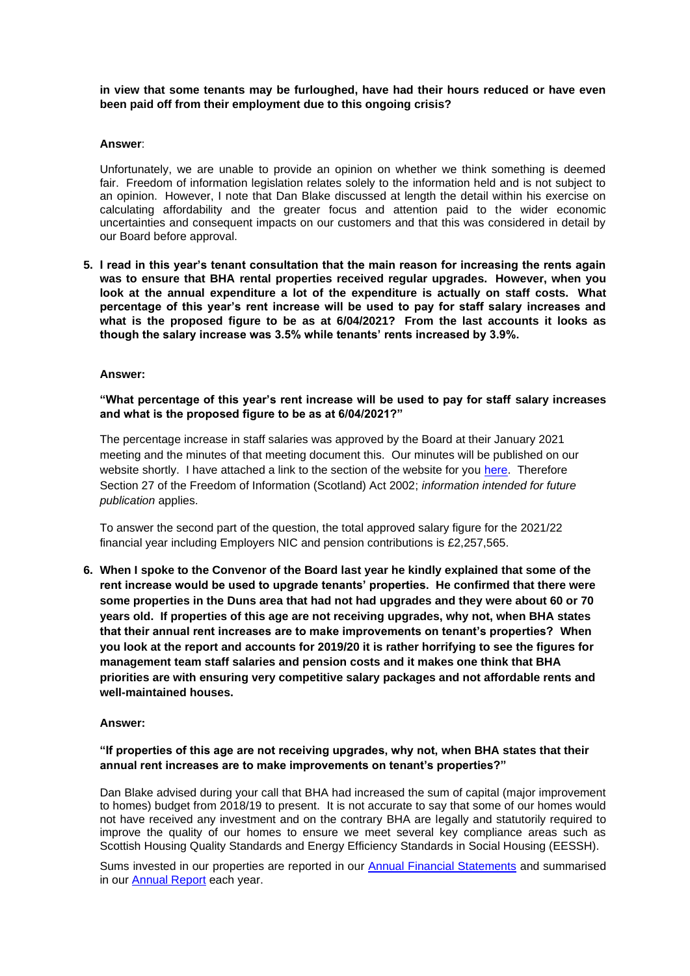**in view that some tenants may be furloughed, have had their hours reduced or have even been paid off from their employment due to this ongoing crisis?** 

#### **Answer**:

Unfortunately, we are unable to provide an opinion on whether we think something is deemed fair. Freedom of information legislation relates solely to the information held and is not subject to an opinion. However, I note that Dan Blake discussed at length the detail within his exercise on calculating affordability and the greater focus and attention paid to the wider economic uncertainties and consequent impacts on our customers and that this was considered in detail by our Board before approval.

**5. I read in this year's tenant consultation that the main reason for increasing the rents again was to ensure that BHA rental properties received regular upgrades. However, when you look at the annual expenditure a lot of the expenditure is actually on staff costs. What percentage of this year's rent increase will be used to pay for staff salary increases and what is the proposed figure to be as at 6/04/2021? From the last accounts it looks as though the salary increase was 3.5% while tenants' rents increased by 3.9%.**

#### **Answer:**

**"What percentage of this year's rent increase will be used to pay for staff salary increases and what is the proposed figure to be as at 6/04/2021?"**

The percentage increase in staff salaries was approved by the Board at their January 2021 meeting and the minutes of that meeting document this. Our minutes will be published on our website shortly. I have attached a link to the section of the website for you [here.](https://www.berwickshirehousing.org.uk/about-us/how-we-are-governed/) Therefore Section 27 of the Freedom of Information (Scotland) Act 2002; *information intended for future publication* applies.

To answer the second part of the question, the total approved salary figure for the 2021/22 financial year including Employers NIC and pension contributions is £2,257,565.

**6. When I spoke to the Convenor of the Board last year he kindly explained that some of the rent increase would be used to upgrade tenants' properties. He confirmed that there were some properties in the Duns area that had not had upgrades and they were about 60 or 70 years old. If properties of this age are not receiving upgrades, why not, when BHA states that their annual rent increases are to make improvements on tenant's properties? When you look at the report and accounts for 2019/20 it is rather horrifying to see the figures for management team staff salaries and pension costs and it makes one think that BHA priorities are with ensuring very competitive salary packages and not affordable rents and well-maintained houses.**

#### **Answer:**

### **"If properties of this age are not receiving upgrades, why not, when BHA states that their annual rent increases are to make improvements on tenant's properties?"**

Dan Blake advised during your call that BHA had increased the sum of capital (major improvement to homes) budget from 2018/19 to present. It is not accurate to say that some of our homes would not have received any investment and on the contrary BHA are legally and statutorily required to improve the quality of our homes to ensure we meet several key compliance areas such as Scottish Housing Quality Standards and Energy Efficiency Standards in Social Housing (EESSH).

Sums invested in our properties are reported in our [Annual Financial Statements](https://www.berwickshirehousing.org.uk/wp-content/uploads/2019/10/BHA-Statutory-Accounts-2019-20-_SIGNED_Redacted.pdf) and summarised in our **Annual Report** each year.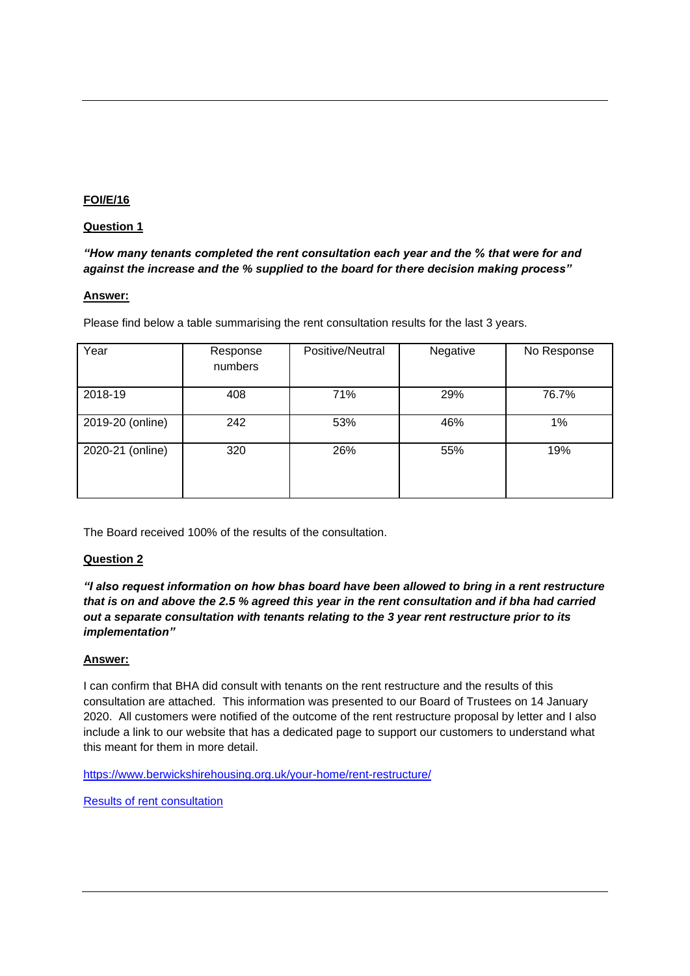# **FOI/E/16**

## **Question 1**

*"How many tenants completed the rent consultation each year and the % that were for and against the increase and the % supplied to the board for there decision making process"*

# **Answer:**

Please find below a table summarising the rent consultation results for the last 3 years.

| Year             | Response<br>numbers | Positive/Neutral | Negative | No Response |
|------------------|---------------------|------------------|----------|-------------|
| 2018-19          | 408                 | 71%              | 29%      | 76.7%       |
| 2019-20 (online) | 242                 | 53%              | 46%      | 1%          |
| 2020-21 (online) | 320                 | 26%              | 55%      | 19%         |

The Board received 100% of the results of the consultation.

## **Question 2**

*"I also request information on how bhas board have been allowed to bring in a rent restructure that is on and above the 2.5 % agreed this year in the rent consultation and if bha had carried out a separate consultation with tenants relating to the 3 year rent restructure prior to its implementation"*

## **Answer:**

I can confirm that BHA did consult with tenants on the rent restructure and the results of this consultation are attached. This information was presented to our Board of Trustees on 14 January 2020. All customers were notified of the outcome of the rent restructure proposal by letter and I also include a link to our website that has a dedicated page to support our customers to understand what this meant for them in more detail.

<https://www.berwickshirehousing.org.uk/your-home/rent-restructure/>

[Results of rent consultation](https://www.berwickshirehousing.org.uk/wp-content/uploads/2021/09/FOI-E-16.pdf)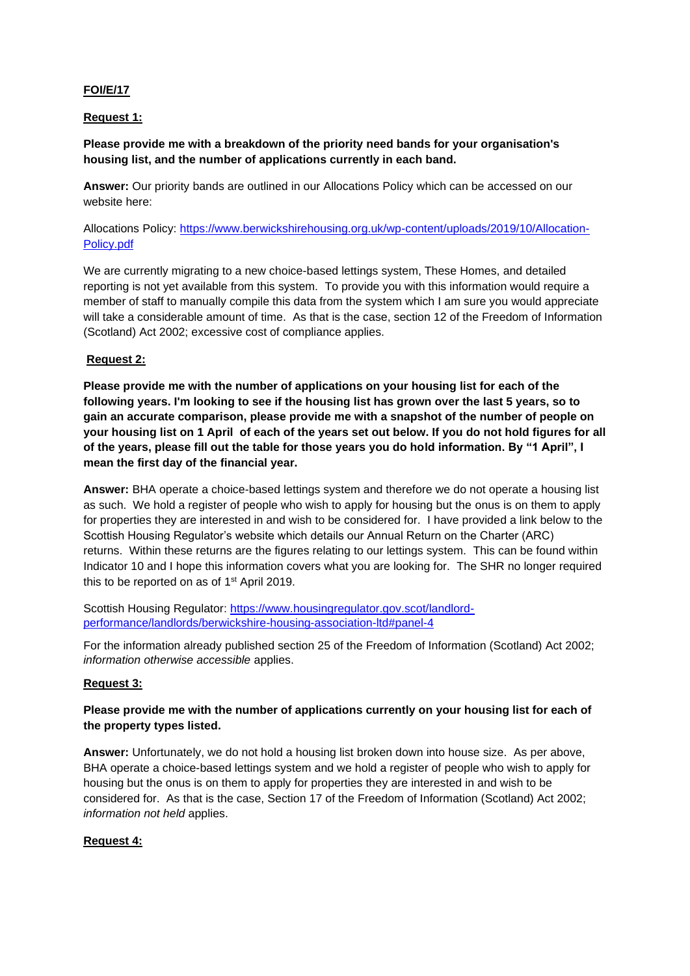# **FOI/E/17**

## **Request 1:**

# **Please provide me with a breakdown of the priority need bands for your organisation's housing list, and the number of applications currently in each band.**

**Answer:** Our priority bands are outlined in our Allocations Policy which can be accessed on our website here:

Allocations Policy: [https://www.berwickshirehousing.org.uk/wp-content/uploads/2019/10/Allocation-](https://www.berwickshirehousing.org.uk/wp-content/uploads/2019/10/Allocation-Policy.pdf)[Policy.pdf](https://www.berwickshirehousing.org.uk/wp-content/uploads/2019/10/Allocation-Policy.pdf)

We are currently migrating to a new choice-based lettings system, These Homes, and detailed reporting is not yet available from this system. To provide you with this information would require a member of staff to manually compile this data from the system which I am sure you would appreciate will take a considerable amount of time. As that is the case, section 12 of the Freedom of Information (Scotland) Act 2002; excessive cost of compliance applies.

# **Request 2:**

**Please provide me with the number of applications on your housing list for each of the following years. I'm looking to see if the housing list has grown over the last 5 years, so to gain an accurate comparison, please provide me with a snapshot of the number of people on your housing list on 1 April of each of the years set out below. If you do not hold figures for all of the years, please fill out the table for those years you do hold information. By "1 April", I mean the first day of the financial year.**

**Answer:** BHA operate a choice-based lettings system and therefore we do not operate a housing list as such. We hold a register of people who wish to apply for housing but the onus is on them to apply for properties they are interested in and wish to be considered for. I have provided a link below to the Scottish Housing Regulator's website which details our Annual Return on the Charter (ARC) returns. Within these returns are the figures relating to our lettings system. This can be found within Indicator 10 and I hope this information covers what you are looking for. The SHR no longer required this to be reported on as of 1st April 2019.

Scottish Housing Regulator: [https://www.housingregulator.gov.scot/landlord](https://www.housingregulator.gov.scot/landlord-performance/landlords/berwickshire-housing-association-ltd#panel-4)[performance/landlords/berwickshire-housing-association-ltd#panel-4](https://www.housingregulator.gov.scot/landlord-performance/landlords/berwickshire-housing-association-ltd#panel-4)

For the information already published section 25 of the Freedom of Information (Scotland) Act 2002; *information otherwise accessible* applies.

## **Request 3:**

# **Please provide me with the number of applications currently on your housing list for each of the property types listed.**

**Answer:** Unfortunately, we do not hold a housing list broken down into house size. As per above, BHA operate a choice-based lettings system and we hold a register of people who wish to apply for housing but the onus is on them to apply for properties they are interested in and wish to be considered for. As that is the case, Section 17 of the Freedom of Information (Scotland) Act 2002; *information not held* applies.

# **Request 4:**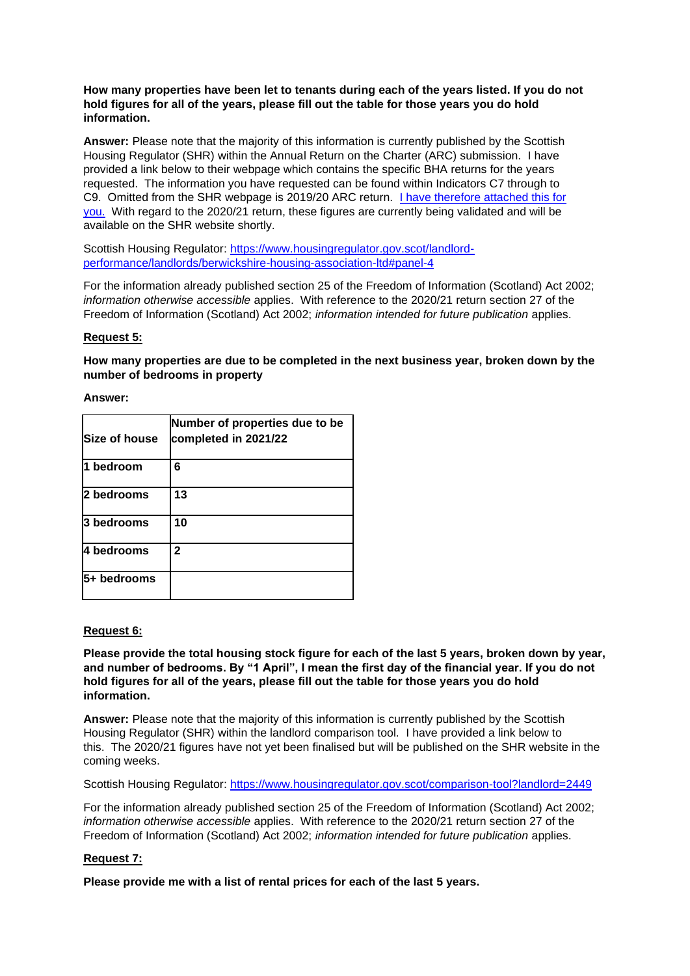### **How many properties have been let to tenants during each of the years listed. If you do not hold figures for all of the years, please fill out the table for those years you do hold information.**

**Answer:** Please note that the majority of this information is currently published by the Scottish Housing Regulator (SHR) within the Annual Return on the Charter (ARC) submission. I have provided a link below to their webpage which contains the specific BHA returns for the years requested. The information you have requested can be found within Indicators C7 through to C9. Omitted from the SHR webpage is 2019/20 ARC return. [I have therefore attached this for](https://www.berwickshirehousing.org.uk/freedom-of-information/)  [you.](https://www.berwickshirehousing.org.uk/freedom-of-information/) With regard to the 2020/21 return, these figures are currently being validated and will be available on the SHR website shortly.

Scottish Housing Regulator: [https://www.housingregulator.gov.scot/landlord](https://www.housingregulator.gov.scot/landlord-performance/landlords/berwickshire-housing-association-ltd#panel-4)[performance/landlords/berwickshire-housing-association-ltd#panel-4](https://www.housingregulator.gov.scot/landlord-performance/landlords/berwickshire-housing-association-ltd#panel-4)

For the information already published section 25 of the Freedom of Information (Scotland) Act 2002; *information otherwise accessible* applies. With reference to the 2020/21 return section 27 of the Freedom of Information (Scotland) Act 2002; *information intended for future publication* applies.

# **Request 5:**

**How many properties are due to be completed in the next business year, broken down by the number of bedrooms in property**

### **Answer:**

| <b>Size of house</b> | Number of properties due to be<br>completed in 2021/22 |
|----------------------|--------------------------------------------------------|
| 1 bedroom            | 6                                                      |
| 2 bedrooms           | 13                                                     |
| 3 bedrooms           | 10                                                     |
| 4 bedrooms           | $\mathbf{2}$                                           |
| 5+ bedrooms          |                                                        |

## **Request 6:**

**Please provide the total housing stock figure for each of the last 5 years, broken down by year, and number of bedrooms. By "1 April", I mean the first day of the financial year. If you do not hold figures for all of the years, please fill out the table for those years you do hold information.**

**Answer:** Please note that the majority of this information is currently published by the Scottish Housing Regulator (SHR) within the landlord comparison tool. I have provided a link below to this. The 2020/21 figures have not yet been finalised but will be published on the SHR website in the coming weeks.

Scottish Housing Regulator:<https://www.housingregulator.gov.scot/comparison-tool?landlord=2449>

For the information already published section 25 of the Freedom of Information (Scotland) Act 2002; *information otherwise accessible* applies. With reference to the 2020/21 return section 27 of the Freedom of Information (Scotland) Act 2002; *information intended for future publication* applies.

## **Request 7:**

**Please provide me with a list of rental prices for each of the last 5 years.**